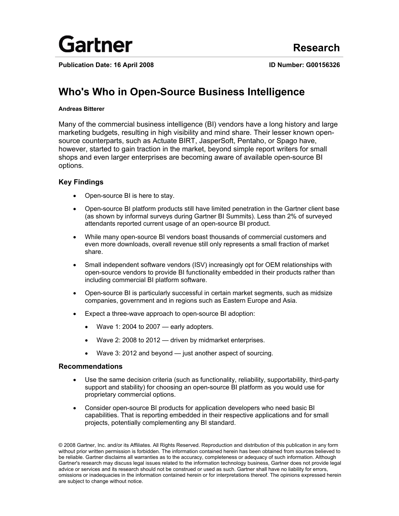

**Publication Date: 16 April 2008 ID Number: G00156326**

# **Who's Who in Open-Source Business Intelligence**

## **Andreas Bitterer**

Many of the commercial business intelligence (BI) vendors have a long history and large marketing budgets, resulting in high visibility and mind share. Their lesser known opensource counterparts, such as Actuate BIRT, JasperSoft, Pentaho, or Spago have, however, started to gain traction in the market, beyond simple report writers for small shops and even larger enterprises are becoming aware of available open-source BI options.

## **Key Findings**

- Open-source BI is here to stay.
- Open-source BI platform products still have limited penetration in the Gartner client base (as shown by informal surveys during Gartner BI Summits). Less than 2% of surveyed attendants reported current usage of an open-source BI product.
- While many open-source BI vendors boast thousands of commercial customers and even more downloads, overall revenue still only represents a small fraction of market share.
- Small independent software vendors (ISV) increasingly opt for OEM relationships with open-source vendors to provide BI functionality embedded in their products rather than including commercial BI platform software.
- Open-source BI is particularly successful in certain market segments, such as midsize companies, government and in regions such as Eastern Europe and Asia.
- Expect a three-wave approach to open-source BI adoption:
	- Wave 1: 2004 to 2007 early adopters.
	- Wave 2: 2008 to 2012 driven by midmarket enterprises.
	- Wave 3: 2012 and beyond just another aspect of sourcing.

## **Recommendations**

- Use the same decision criteria (such as functionality, reliability, supportability, third-party support and stability) for choosing an open-source BI platform as you would use for proprietary commercial options.
- Consider open-source BI products for application developers who need basic BI capabilities. That is reporting embedded in their respective applications and for small projects, potentially complementing any BI standard.

<sup>© 2008</sup> Gartner, Inc. and/or its Affiliates. All Rights Reserved. Reproduction and distribution of this publication in any form without prior written permission is forbidden. The information contained herein has been obtained from sources believed to be reliable. Gartner disclaims all warranties as to the accuracy, completeness or adequacy of such information. Although Gartner's research may discuss legal issues related to the information technology business, Gartner does not provide legal advice or services and its research should not be construed or used as such. Gartner shall have no liability for errors, omissions or inadequacies in the information contained herein or for interpretations thereof. The opinions expressed herein are subject to change without notice.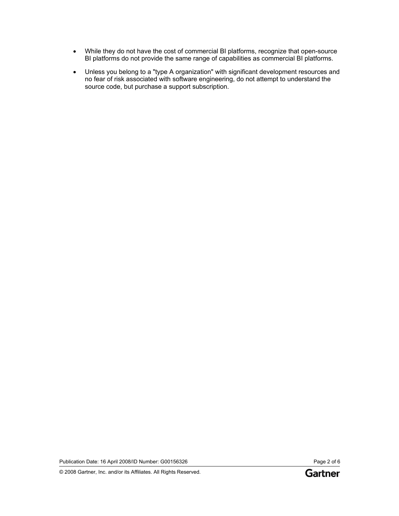- While they do not have the cost of commercial BI platforms, recognize that open-source BI platforms do not provide the same range of capabilities as commercial BI platforms.
- Unless you belong to a "type A organization" with significant development resources and no fear of risk associated with software engineering, do not attempt to understand the source code, but purchase a support subscription.

Publication Date: 16 April 2008/ID Number: G00156326 Page 2 of 6

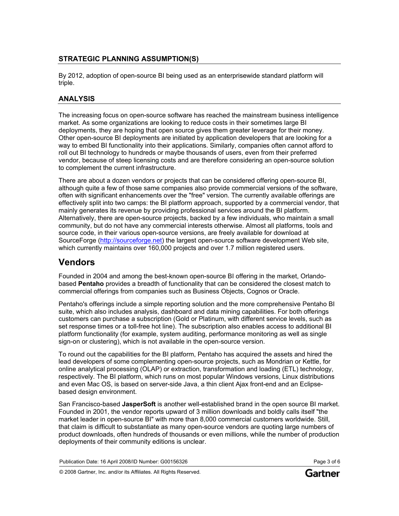## **STRATEGIC PLANNING ASSUMPTION(S)**

By 2012, adoption of open-source BI being used as an enterprisewide standard platform will triple.

## **ANALYSIS**

The increasing focus on open-source software has reached the mainstream business intelligence market. As some organizations are looking to reduce costs in their sometimes large BI deployments, they are hoping that open source gives them greater leverage for their money. Other open-source BI deployments are initiated by application developers that are looking for a way to embed BI functionality into their applications. Similarly, companies often cannot afford to roll out BI technology to hundreds or maybe thousands of users, even from their preferred vendor, because of steep licensing costs and are therefore considering an open-source solution to complement the current infrastructure.

There are about a dozen vendors or projects that can be considered offering open-source BI, although quite a few of those same companies also provide commercial versions of the software, often with significant enhancements over the "free" version. The currently available offerings are effectively split into two camps: the BI platform approach, supported by a commercial vendor, that mainly generates its revenue by providing professional services around the BI platform. Alternatively, there are open-source projects, backed by a few individuals, who maintain a small community, but do not have any commercial interests otherwise. Almost all platforms, tools and source code, in their various open-source versions, are freely available for download at SourceForge ([http://sourceforge.net](http://sourceforge.net/)) the largest open-source software development Web site, which currently maintains over 160,000 projects and over 1.7 million registered users.

## **Vendors**

Founded in 2004 and among the best-known open-source BI offering in the market, Orlandobased **Pentaho** provides a breadth of functionality that can be considered the closest match to commercial offerings from companies such as Business Objects, Cognos or Oracle.

Pentaho's offerings include a simple reporting solution and the more comprehensive Pentaho BI suite, which also includes analysis, dashboard and data mining capabilities. For both offerings customers can purchase a subscription (Gold or Platinum, with different service levels, such as set response times or a toll-free hot line). The subscription also enables access to additional BI platform functionality (for example, system auditing, performance monitoring as well as single sign-on or clustering), which is not available in the open-source version.

To round out the capabilities for the BI platform, Pentaho has acquired the assets and hired the lead developers of some complementing open-source projects, such as Mondrian or Kettle, for online analytical processing (OLAP) or extraction, transformation and loading (ETL) technology, respectively. The BI platform, which runs on most popular Windows versions, Linux distributions and even Mac OS, is based on server-side Java, a thin client Ajax front-end and an Eclipsebased design environment.

San Francisco-based **JasperSoft** is another well-established brand in the open source BI market. Founded in 2001, the vendor reports upward of 3 million downloads and boldly calls itself "the market leader in open-source BI" with more than 8,000 commercial customers worldwide. Still, that claim is difficult to substantiate as many open-source vendors are quoting large numbers of product downloads, often hundreds of thousands or even millions, while the number of production deployments of their community editions is unclear.

Publication Date: 16 April 2008/ID Number: G00156326 Page 3 of 6

© 2008 Gartner, Inc. and/or its Affiliates. All Rights Reserved.

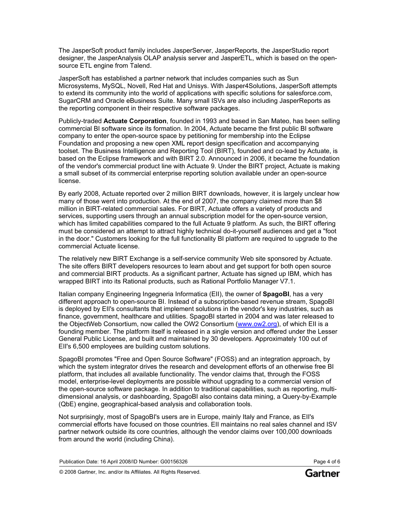The JasperSoft product family includes JasperServer, JasperReports, the JasperStudio report designer, the JasperAnalysis OLAP analysis server and JasperETL, which is based on the opensource ETL engine from Talend.

JasperSoft has established a partner network that includes companies such as Sun Microsystems, MySQL, Novell, Red Hat and Unisys. With Jasper4Solutions, JasperSoft attempts to extend its community into the world of applications with specific solutions for salesforce.com, SugarCRM and Oracle eBusiness Suite. Many small ISVs are also including JasperReports as the reporting component in their respective software packages.

Publicly-traded **Actuate Corporation**, founded in 1993 and based in San Mateo, has been selling commercial BI software since its formation. In 2004, Actuate became the first public BI software company to enter the open-source space by petitioning for membership into the Eclipse Foundation and proposing a new open XML report design specification and accompanying toolset. The Business Intelligence and Reporting Tool (BIRT), founded and co-lead by Actuate, is based on the Eclipse framework and with BIRT 2.0. Announced in 2006, it became the foundation of the vendor's commercial product line with Actuate 9. Under the BIRT project, Actuate is making a small subset of its commercial enterprise reporting solution available under an open-source license.

By early 2008, Actuate reported over 2 million BIRT downloads, however, it is largely unclear how many of those went into production. At the end of 2007, the company claimed more than \$8 million in BIRT-related commercial sales. For BIRT, Actuate offers a variety of products and services, supporting users through an annual subscription model for the open-source version, which has limited capabilities compared to the full Actuate 9 platform. As such, the BIRT offering must be considered an attempt to attract highly technical do-it-yourself audiences and get a "foot in the door." Customers looking for the full functionality BI platform are required to upgrade to the commercial Actuate license.

The relatively new BIRT Exchange is a self-service community Web site sponsored by Actuate. The site offers BIRT developers resources to learn about and get support for both open source and commercial BIRT products. As a significant partner, Actuate has signed up IBM, which has wrapped BIRT into its Rational products, such as Rational Portfolio Manager V7.1.

Italian company Engineering Ingegneria Informatica (EII), the owner of **SpagoBI**, has a very different approach to open-source BI. Instead of a subscription-based revenue stream, SpagoBI is deployed by EII's consultants that implement solutions in the vendor's key industries, such as finance, government, healthcare and utilities. SpagoBI started in 2004 and was later released to the ObjectWeb Consortium, now called the OW2 Consortium [\(www.ow2.org](http://www.ow2.org/)), of which EII is a founding member. The platform itself is released in a single version and offered under the Lesser General Public License, and built and maintained by 30 developers. Approximately 100 out of EII's 6,500 employees are building custom solutions.

SpagoBI promotes "Free and Open Source Software" (FOSS) and an integration approach, by which the system integrator drives the research and development efforts of an otherwise free BI platform, that includes all available functionality. The vendor claims that, through the FOSS model, enterprise-level deployments are possible without upgrading to a commercial version of the open-source software package. In addition to traditional capabilities, such as reporting, multidimensional analysis, or dashboarding, SpagoBI also contains data mining, a Query-by-Example (QbE) engine, geographical-based analysis and collaboration tools.

Not surprisingly, most of SpagoBI's users are in Europe, mainly Italy and France, as EII's commercial efforts have focused on those countries. EII maintains no real sales channel and ISV partner network outside its core countries, although the vendor claims over 100,000 downloads from around the world (including China).

Publication Date: 16 April 2008/ID Number: G00156326 Page 4 of 6

© 2008 Gartner, Inc. and/or its Affiliates. All Rights Reserved.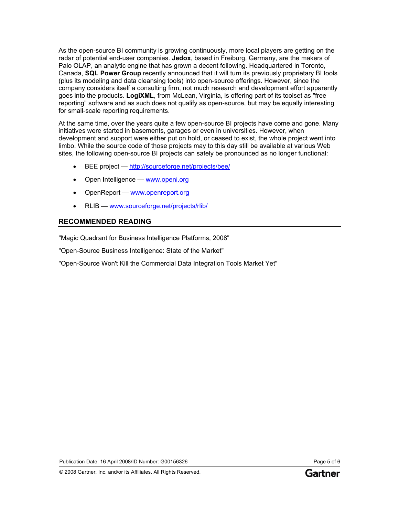As the open-source BI community is growing continuously, more local players are getting on the radar of potential end-user companies. **Jedox**, based in Freiburg, Germany, are the makers of Palo OLAP, an analytic engine that has grown a decent following. Headquartered in Toronto, Canada, **SQL Power Group** recently announced that it will turn its previously proprietary BI tools (plus its modeling and data cleansing tools) into open-source offerings. However, since the company considers itself a consulting firm, not much research and development effort apparently goes into the products. **LogiXML**, from McLean, Virginia, is offering part of its toolset as "free reporting" software and as such does not qualify as open-source, but may be equally interesting for small-scale reporting requirements.

At the same time, over the years quite a few open-source BI projects have come and gone. Many initiatives were started in basements, garages or even in universities. However, when development and support were either put on hold, or ceased to exist, the whole project went into limbo. While the source code of those projects may to this day still be available at various Web sites, the following open-source BI projects can safely be pronounced as no longer functional:

- BEE project <http://sourceforge.net/projects/bee/>
- Open Intelligence [www.openi.org](http://openi.sourceforge.net/)
- OpenReport — [www.openreport.org](http://www.openreport.org/)
- RLIB — [www.sourceforge.net/projects/rlib/](http://www.sourceforge.net/projects/rlib/)

## **RECOMMENDED READING**

"Magic Quadrant for Business Intelligence Platforms, 2008"

"Open-Source Business Intelligence: State of the Market"

"Open-Source Won't Kill the Commercial Data Integration Tools Market Yet"